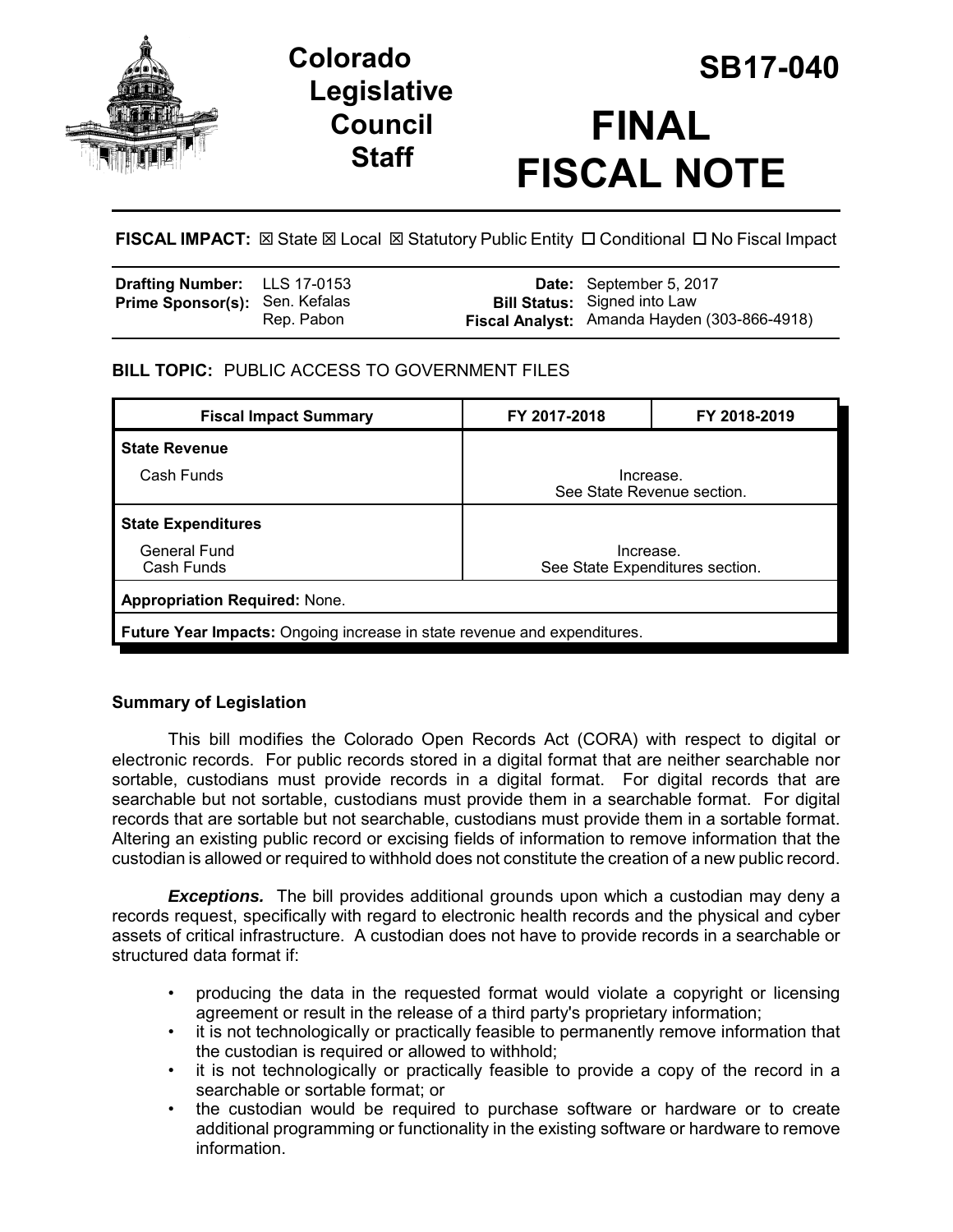

# **Legislative Council Staff**



**FISCAL IMPACT:**  $\boxtimes$  **State**  $\boxtimes$  **Local**  $\boxtimes$  **Statutory Public Entity □ Conditional □ No Fiscal Impact** 

| <b>Drafting Number:</b> LLS 17-0153<br>Prime Sponsor(s): Sen. Kefalas | Rep. Pabon | <b>Date:</b> September 5, 2017<br><b>Bill Status:</b> Signed into Law<br>Fiscal Analyst: Amanda Hayden (303-866-4918) |
|-----------------------------------------------------------------------|------------|-----------------------------------------------------------------------------------------------------------------------|
|                                                                       |            |                                                                                                                       |

## **BILL TOPIC:** PUBLIC ACCESS TO GOVERNMENT FILES

| <b>Fiscal Impact Summary</b>                                                    | FY 2017-2018                                 | FY 2018-2019 |  |  |  |
|---------------------------------------------------------------------------------|----------------------------------------------|--------------|--|--|--|
| <b>State Revenue</b>                                                            |                                              |              |  |  |  |
| Cash Funds                                                                      | Increase.<br>See State Revenue section.      |              |  |  |  |
| <b>State Expenditures</b>                                                       |                                              |              |  |  |  |
| General Fund<br>Cash Funds                                                      | Increase.<br>See State Expenditures section. |              |  |  |  |
| <b>Appropriation Required: None.</b>                                            |                                              |              |  |  |  |
| <b>Future Year Impacts:</b> Ongoing increase in state revenue and expenditures. |                                              |              |  |  |  |

## **Summary of Legislation**

This bill modifies the Colorado Open Records Act (CORA) with respect to digital or electronic records. For public records stored in a digital format that are neither searchable nor sortable, custodians must provide records in a digital format. For digital records that are searchable but not sortable, custodians must provide them in a searchable format. For digital records that are sortable but not searchable, custodians must provide them in a sortable format. Altering an existing public record or excising fields of information to remove information that the custodian is allowed or required to withhold does not constitute the creation of a new public record.

**Exceptions.** The bill provides additional grounds upon which a custodian may deny a records request, specifically with regard to electronic health records and the physical and cyber assets of critical infrastructure. A custodian does not have to provide records in a searchable or structured data format if:

- producing the data in the requested format would violate a copyright or licensing agreement or result in the release of a third party's proprietary information;
- it is not technologically or practically feasible to permanently remove information that the custodian is required or allowed to withhold;
- it is not technologically or practically feasible to provide a copy of the record in a searchable or sortable format; or
- the custodian would be required to purchase software or hardware or to create additional programming or functionality in the existing software or hardware to remove information.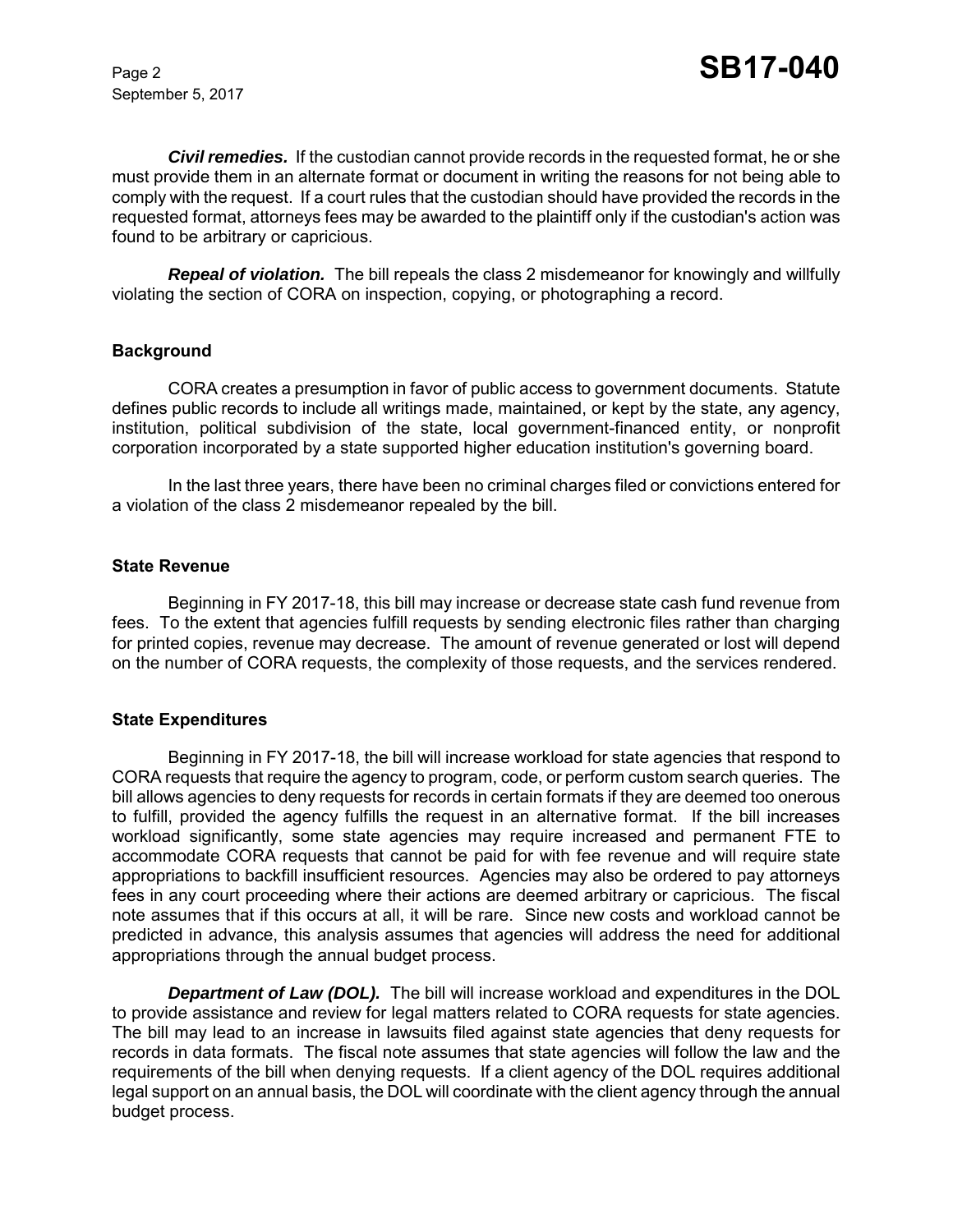September 5, 2017

*Civil remedies.* If the custodian cannot provide records in the requested format, he or she must provide them in an alternate format or document in writing the reasons for not being able to comply with the request. If a court rules that the custodian should have provided the records in the requested format, attorneys fees may be awarded to the plaintiff only if the custodian's action was found to be arbitrary or capricious.

**Repeal of violation.** The bill repeals the class 2 misdemeanor for knowingly and willfully violating the section of CORA on inspection, copying, or photographing a record.

### **Background**

CORA creates a presumption in favor of public access to government documents. Statute defines public records to include all writings made, maintained, or kept by the state, any agency, institution, political subdivision of the state, local government-financed entity, or nonprofit corporation incorporated by a state supported higher education institution's governing board.

In the last three years, there have been no criminal charges filed or convictions entered for a violation of the class 2 misdemeanor repealed by the bill.

#### **State Revenue**

Beginning in FY 2017-18, this bill may increase or decrease state cash fund revenue from fees. To the extent that agencies fulfill requests by sending electronic files rather than charging for printed copies, revenue may decrease. The amount of revenue generated or lost will depend on the number of CORA requests, the complexity of those requests, and the services rendered.

#### **State Expenditures**

Beginning in FY 2017-18, the bill will increase workload for state agencies that respond to CORA requests that require the agency to program, code, or perform custom search queries. The bill allows agencies to deny requests for records in certain formats if they are deemed too onerous to fulfill, provided the agency fulfills the request in an alternative format. If the bill increases workload significantly, some state agencies may require increased and permanent FTE to accommodate CORA requests that cannot be paid for with fee revenue and will require state appropriations to backfill insufficient resources. Agencies may also be ordered to pay attorneys fees in any court proceeding where their actions are deemed arbitrary or capricious. The fiscal note assumes that if this occurs at all, it will be rare. Since new costs and workload cannot be predicted in advance, this analysis assumes that agencies will address the need for additional appropriations through the annual budget process.

*Department of Law (DOL).* The bill will increase workload and expenditures in the DOL to provide assistance and review for legal matters related to CORA requests for state agencies. The bill may lead to an increase in lawsuits filed against state agencies that deny requests for records in data formats. The fiscal note assumes that state agencies will follow the law and the requirements of the bill when denying requests. If a client agency of the DOL requires additional legal support on an annual basis, the DOL will coordinate with the client agency through the annual budget process.